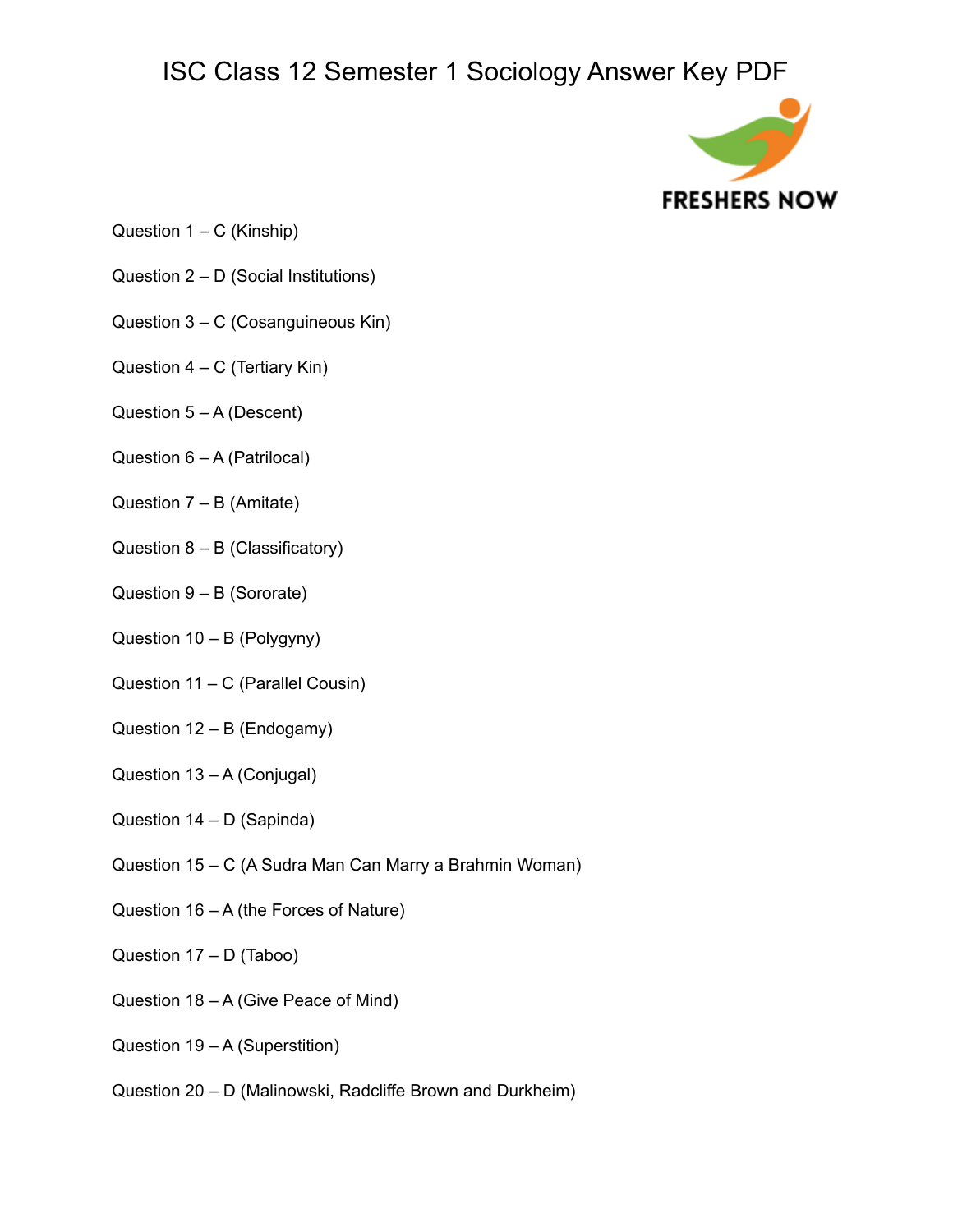

- Question  $1 C$  (Kinship)
- Question 2 D (Social Institutions)
- Question 3 C (Cosanguineous Kin)
- Question  $4 C$  (Tertiary Kin)
- Question 5 A (Descent)
- Question 6 A (Patrilocal)
- Question  $7 B$  (Amitate)
- Question 8 B (Classificatory)
- Question 9 B (Sororate)
- Question 10 B (Polygyny)
- Question 11 C (Parallel Cousin)
- Question 12 B (Endogamy)
- Question 13 A (Conjugal)
- Question 14 D (Sapinda)
- Question 15 C (A Sudra Man Can Marry a Brahmin Woman)
- Question 16 A (the Forces of Nature)
- Question 17 D (Taboo)
- Question 18 A (Give Peace of Mind)
- Question 19 A (Superstition)
- Question 20 D (Malinowski, Radcliffe Brown and Durkheim)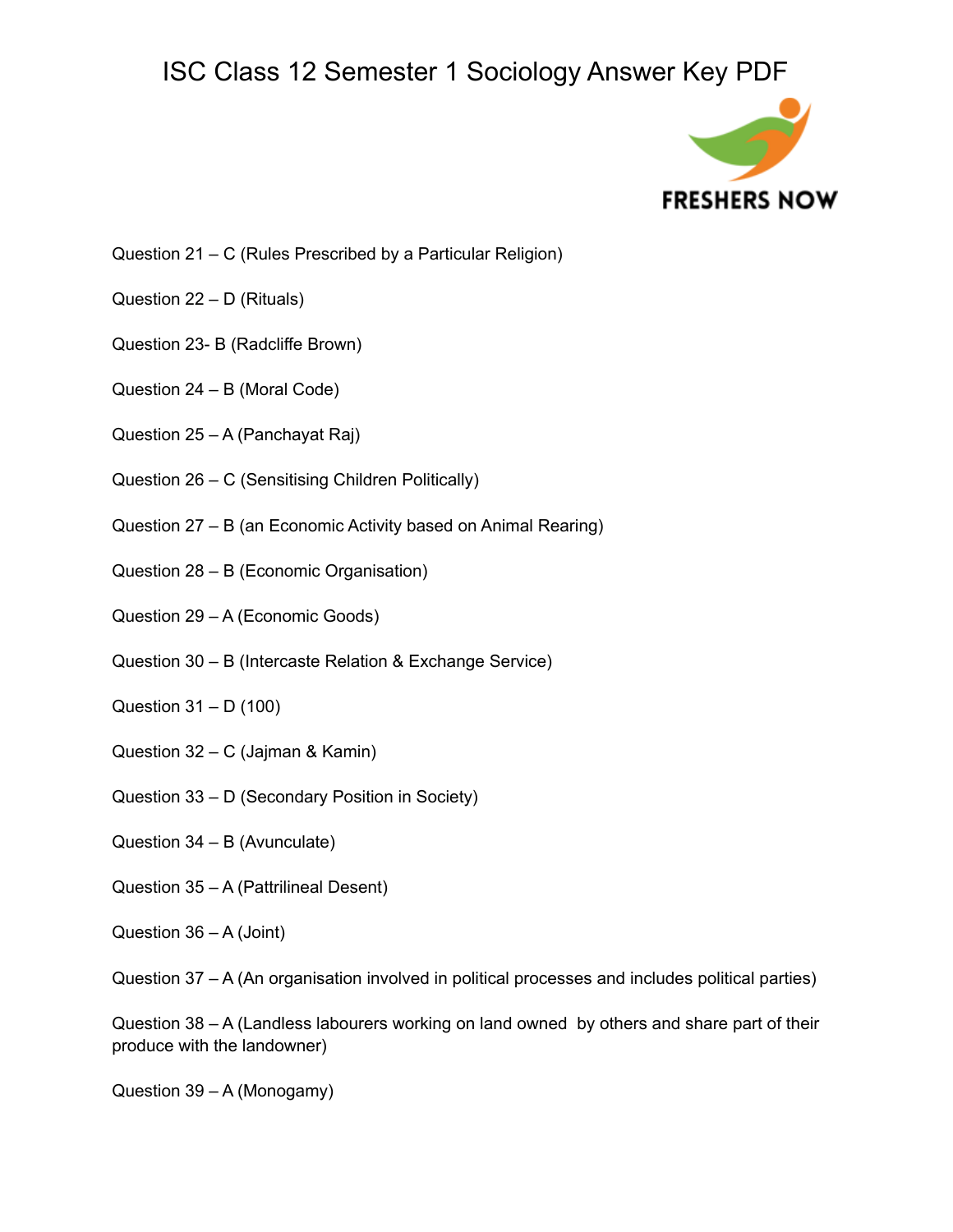

- Question 21 C (Rules Prescribed by a Particular Religion)
- Question 22 D (Rituals)
- Question 23- B (Radcliffe Brown)
- Question 24 B (Moral Code)
- Question 25 A (Panchayat Raj)
- Question 26 C (Sensitising Children Politically)
- Question 27 B (an Economic Activity based on Animal Rearing)
- Question 28 B (Economic Organisation)
- Question 29 A (Economic Goods)
- Question 30 B (Intercaste Relation & Exchange Service)
- Question 31 D (100)
- Question 32 C (Jajman & Kamin)
- Question 33 D (Secondary Position in Society)
- Question 34 B (Avunculate)
- Question 35 A (Pattrilineal Desent)
- Question 36 A (Joint)
- Question 37 A (An organisation involved in political processes and includes political parties)

Question 38 – A (Landless labourers working on land owned by others and share part of their produce with the landowner)

Question 39 – A (Monogamy)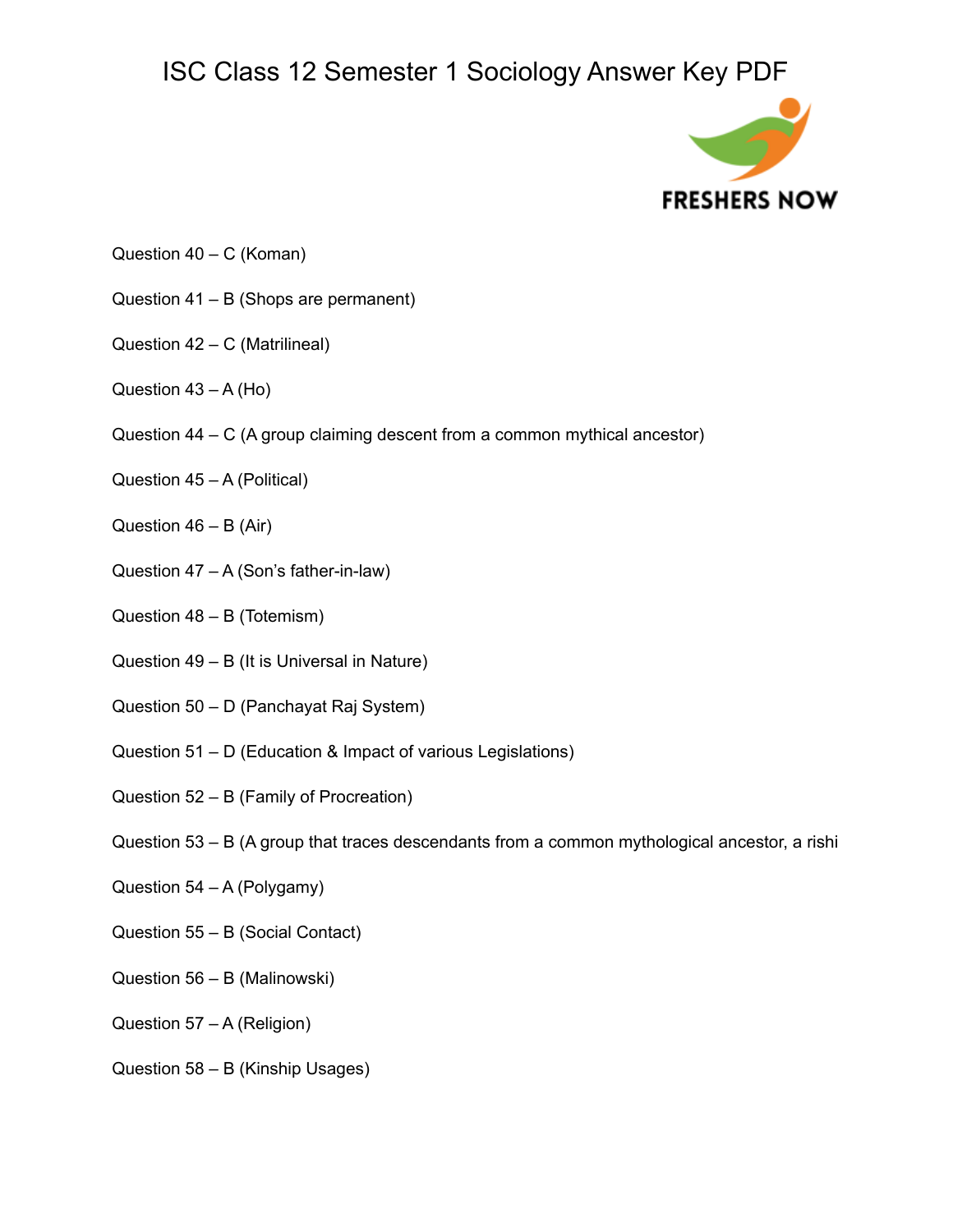

- Question 40 C (Koman)
- Question 41 B (Shops are permanent)
- Question 42 C (Matrilineal)
- Question  $43 A (Ho)$
- Question 44 C (A group claiming descent from a common mythical ancestor)
- Question 45 A (Political)
- Question  $46 B$  (Air)
- Question 47 A (Son's father-in-law)
- Question 48 B (Totemism)
- Question 49 B (It is Universal in Nature)
- Question 50 D (Panchayat Raj System)
- Question 51 D (Education & Impact of various Legislations)
- Question 52 B (Family of Procreation)
- Question 53 B (A group that traces descendants from a common mythological ancestor, a rishi
- Question 54 A (Polygamy)
- Question 55 B (Social Contact)
- Question 56 B (Malinowski)
- Question 57 A (Religion)
- Question 58 B (Kinship Usages)